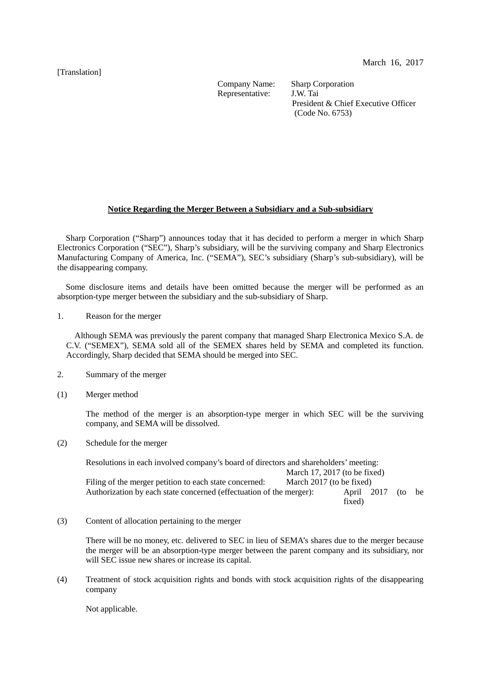### [Translation]

Representative:

Company Name: Sharp Corporation<br>Representative: J.W. Tai President & Chief Executive Officer (Code No. 6753)

# **Notice Regarding the Merger Between a Subsidiary and a Sub-subsidiary**

Sharp Corporation ("Sharp") announces today that it has decided to perform a merger in which Sharp Electronics Corporation ("SEC"), Sharp's subsidiary, will be the surviving company and Sharp Electronics Manufacturing Company of America, Inc. ("SEMA"), SEC's subsidiary (Sharp's sub-subsidiary), will be the disappearing company.

Some disclosure items and details have been omitted because the merger will be performed as an absorption-type merger between the subsidiary and the sub-subsidiary of Sharp.

1. Reason for the merger

Although SEMA was previously the parent company that managed Sharp Electronica Mexico S.A. de C.V. ("SEMEX"), SEMA sold all of the SEMEX shares held by SEMA and completed its function. Accordingly, Sharp decided that SEMA should be merged into SEC.

- 2. Summary of the merger
- (1) Merger method

The method of the merger is an absorption-type merger in which SEC will be the surviving company, and SEMA will be dissolved.

(2) Schedule for the merger

Resolutions in each involved company's board of directors and shareholders' meeting: March 17, 2017 (to be fixed)<br>March 2017 (to be fixed) Filing of the merger petition to each state concerned: Authorization by each state concerned (effectuation of the merger): April 2017 (to be fixed)

(3) Content of allocation pertaining to the merger

There will be no money, etc. delivered to SEC in lieu of SEMA's shares due to the merger because the merger will be an absorption-type merger between the parent company and its subsidiary, nor will SEC issue new shares or increase its capital.

(4) Treatment of stock acquisition rights and bonds with stock acquisition rights of the disappearing company

Not applicable.